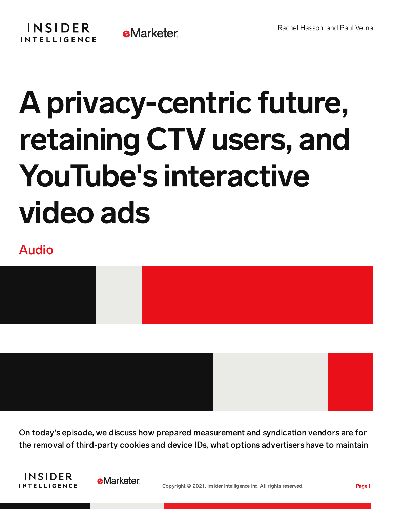

## A privacy-centric future, retaining CTV users, and YouTube's interactive video ads

## Audio



On today's episode, we discuss how prepared measurement and syndication vendors are for the removal of third-party cookies and device IDs, what options advertisers have to maintain





Copyright © 2021, Insider Intelligence Inc. All rights reserved. Page 1